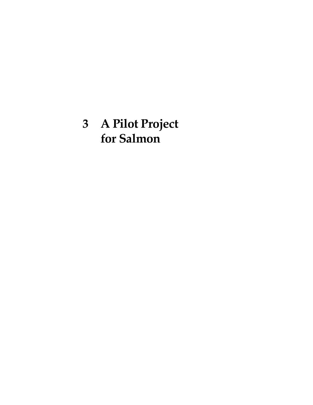# **3 A Pilot Project for Salmon**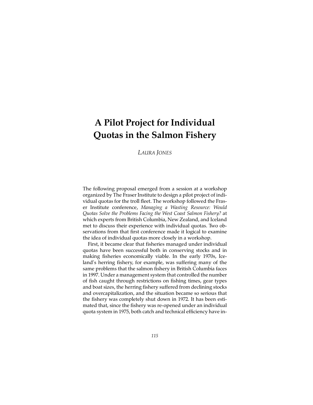# **A Pilot Project for Individual Quotas in the Salmon Fishery**

# *LAURA JONES*

The following proposal emerged from a session at a workshop organized by The Fraser Institute to design a pilot project of individual quotas for the troll fleet. The workshop followed the Fraser Institute conference, *Managing a Wasting Resource: Would Quotas Solve the Problems Facing the West Coast Salmon Fishery?* at which experts from British Columbia, New Zealand, and Iceland met to discuss their experience with individual quotas. Two observations from that first conference made it logical to examine the idea of individual quotas more closely in a workshop.

First, it became clear that fisheries managed under individual quotas have been successful both in conserving stocks and in making fisheries economically viable. In the early 1970s, Iceland's herring fishery, for example, was suffering many of the same problems that the salmon fishery in British Columbia faces in 1997. Under a management system that controlled the number of fish caught through restrictions on fishing times, gear types and boat sizes, the herring fishery suffered from declining stocks and overcapitalization, and the situation became so serious that the fishery was completely shut down in 1972. It has been estimated that, since the fishery was re-opened under an individual quota system in 1975, both catch and technical efficiency have in-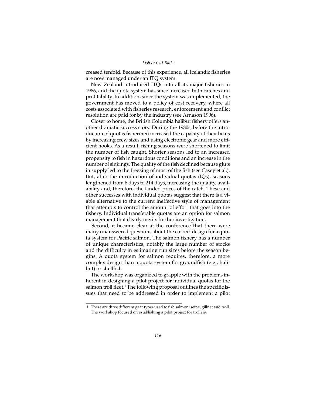#### *Fish or Cut Bait!*

creased tenfold. Because of this experience, all Icelandic fisheries are now managed under an ITQ system.

New Zealand introduced ITQs into all its major fisheries in 1986, and the quota system has since increased both catches and profitability. In addition, since the system was implemented, the government has moved to a policy of cost recovery, where all costs associated with fisheries research, enforcement and conflict resolution are paid for by the industry (see Arnason 1996).

Closer to home, the British Columbia halibut fishery offers another dramatic success story. During the 1980s, before the introduction of quotas fishermen increased the capacity of their boats by increasing crew sizes and using electronic gear and more efficient hooks. As a result, fishing seasons were shortened to limit the number of fish caught. Shorter seasons led to an increased propensity to fish in hazardous conditions and an increase in the number of sinkings. The quality of the fish declined because gluts in supply led to the freezing of most of the fish (see Casey et al.). But, after the introduction of individual quotas (IQs), seasons lengthened from 6 days to 214 days, increasing the quality, availability and, therefore, the landed prices of the catch. These and other successes with individual quotas suggest that there is a viable alternative to the current ineffective style of management that attempts to control the amount of effort that goes into the fishery. Individual transferable quotas are an option for salmon management that clearly merits further investigation.

Second, it became clear at the conference that there were many unanswered questions about the correct design for a quota system for Pacific salmon. The salmon fishery has a number of unique characteristics, notably the large number of stocks and the difficulty in estimating run sizes before the season begins. A quota system for salmon requires, therefore, a more complex design than a quota system for groundfish (e.g., halibut) or shellfish.

The workshop was organized to grapple with the problems inherent in designing a pilot project for individual quotas for the salmon troll fleet.<sup>1</sup> The following proposal outlines the specific issues that need to be addressed in order to implement a pilot

<sup>1</sup> There are three different gear types used to fish salmon: seine, gillnet and troll. The workshop focused on establishing a pilot project for trollers.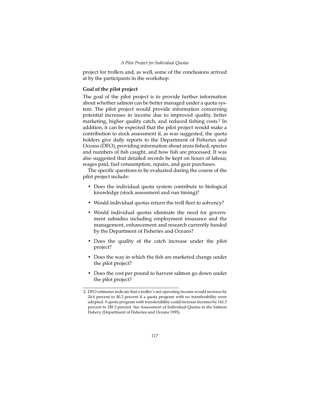project for trollers and, as well, some of the conclusions arrived at by the participants in the workshop.

# **Goal of the pilot project**

The goal of the pilot project is to provide further information about whether salmon can be better managed under a quota system. The pilot project would provide information concerning potential increases in income due to improved quality, better marketing, higher quality catch, and reduced fishing costs.<sup>2</sup> In addition, it can be expected that the pilot project would make a contribution to stock assessment if, as was suggested, the quota holders give daily reports to the Department of Fisheries and Oceans (DFO), providing information about areas fished, species and numbers of fish caught, and how fish are processed. It was also suggested that detailed records be kept on hours of labour, wages paid, fuel consumption, repairs, and gear purchases.

The specific questions to be evaluated during the course of the pilot project include:

- Does the individual quota system contribute to biological knowledge (stock assessment and run timing)?
- Would individual quotas return the troll fleet to solvency?
- Would individual quotas eliminate the need for government subsidies including employment insurance and the management, enhancement and research currently funded by the Department of Fisheries and Oceans?
- Does the quality of the catch increase under the pilot project?
- Does the way in which the fish are marketed change under the pilot project?
- Does the cost per pound to harvest salmon go down under the pilot project?

<sup>2</sup> DFO estimates indicate that a troller's net operating income would increase by 24.6 percent to 40.2 percent if a quota program with no transferability were adopted. A quota program with transferability could increase incomes by 141.3 percent to 185.3 percent. See Assessment of Individual Quotas in the Salmon Fishery (Department of Fisheries and Oceans 1995).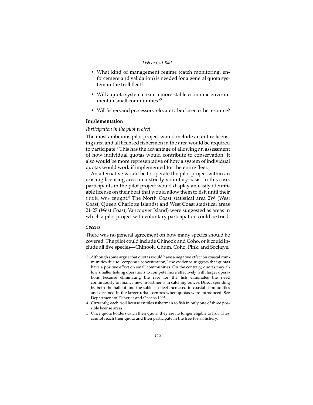- What kind of management regime (catch monitoring, enforcement and validation) is needed for a general quota system in the troll fleet?
- Will a quota system create a more stable economic environment in small communities?<sup>3</sup>
- Will fishers and processors relocate to be closer to the resource?

# **Implementation**

# *Participation in the pilot project*

The most ambitious pilot project would include an entire licensing area and all licensed fishermen in the area would be required to participate.<sup>4</sup> This has the advantage of allowing an assessment of how individual quotas would contribute to conservation. It also would be more representative of how a system of individual quotas would work if implemented for the entire fleet.

An alternative would be to operate the pilot project within an existing licensing area on a strictly voluntary basis. In this case, participants in the pilot project would display an easily identifiable license on their boat that would allow them to fish until their quota was caught.<sup>5</sup> The North Coast statistical area 2W (West Coast, Queen Charlotte Islands) and West Coast statistical areas 21-27 (West Coast, Vancouver Island) were suggested as areas in which a pilot project with voluntary participation could be tried.

# *Species*

There was no general agreement on how many species should be covered. The pilot could include Chinook and Coho, or it could include all five species—Chinook, Chum, Coho, Pink, and Sockeye.

- 4 Currently, each troll license entitles fishermen to fish in only one of three possible license areas.
- 5 Once quota holders catch their quota, they are no longer eligible to fish. They cannot reach their quota and then participate in the free-for-all fishery.

<sup>3</sup> Although some argue that quotas would have a negative effect on coastal communities due to "corporate concentration," the evidence suggests that quotas have a positive effect on small communities. On the contrary, quotas may allow smaller fishing operations to compete more effectively with larger operations because eliminating the race for the fish eliminates the need continuously to finance new investments in catching power. Direct spending by both the halibut and the sablefish fleet increased in coastal communities and declined in the larger urban centres when quotas were introduced. See Department of Fisheries and Oceans 1995.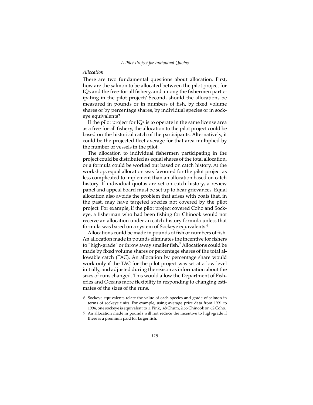#### *Allocation*

There are two fundamental questions about allocation. First, how are the salmon to be allocated between the pilot project for IQs and the free-for-all fishery, and among the fishermen participating in the pilot project? Second, should the allocations be measured in pounds or in numbers of fish, by fixed volume shares or by percentage shares, by individual species or in sockeye equivalents?

If the pilot project for IQs is to operate in the same license area as a free-for-all fishery, the allocation to the pilot project could be based on the historical catch of the participants. Alternatively, it could be the projected fleet average for that area multiplied by the number of vessels in the pilot.

The allocation to individual fishermen participating in the project could be distributed as equal shares of the total allocation, or a formula could be worked out based on catch history. At the workshop, equal allocation was favoured for the pilot project as less complicated to implement than an allocation based on catch history. If individual quotas are set on catch history, a review panel and appeal board must be set up to hear grievances. Equal allocation also avoids the problem that arises with boats that, in the past, may have targeted species not covered by the pilot project. For example, if the pilot project covered Coho and Sockeye, a fisherman who had been fishing for Chinook would not receive an allocation under an catch-history formula unless that formula was based on a system of Sockeye equivalents.6

Allocations could be made in pounds of fish or numbers of fish. An allocation made in pounds eliminates the incentive for fishers to "high-grade" or throw away smaller fish.<sup>7</sup> Allocations could be made by fixed volume shares or percentage shares of the total allowable catch (TAC). An allocation by percentage share would work only if the TAC for the pilot project was set at a low level initially, and adjusted during the season as information about the sizes of runs changed. This would allow the Department of Fisheries and Oceans more flexibility in responding to changing estimates of the sizes of the runs.

<sup>6</sup> Sockeye equivalents relate the value of each species and grade of salmon in terms of sockeye units. For example, using average price data from 1991 to 1994, one sockeye is equivalent to .1 Pink, .48 Chum, 2.66 Chinook or .62 Coho.

<sup>7</sup> An allocation made in pounds will not reduce the incentive to high-grade if there is a premium paid for larger fish.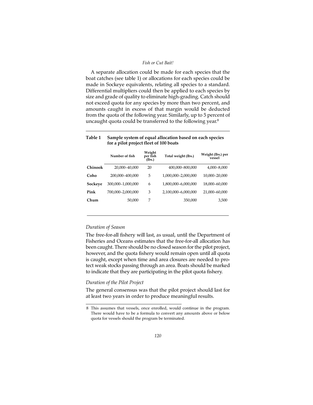#### *Fish or Cut Bait!*

A separate allocation could be made for each species that the boat catches (see table 1) or allocations for each species could be made in Sockeye equivalents, relating all species to a standard. Differential multipliers could then be applied to each species by size and grade of quality to eliminate high-grading. Catch should not exceed quota for any species by more than two percent, and amounts caught in excess of that margin would be deducted from the quota of the following year. Similarly, up to 5 percent of uncaught quota could be transferred to the following year.<sup>8</sup>

|         | Number of fish    | Weight<br>per fish<br>(lbs.) | Total weight (lbs.) | Weight (lbs.) per<br>vessel |
|---------|-------------------|------------------------------|---------------------|-----------------------------|
| Chinook | 20,000-40,000     | 20                           | 400,000-800,000     | 4,000-8,000                 |
| Coho    | 200,000-400,000   | 5                            | 1.000.000-2.000.000 | 10,000-20,000               |
| Sockeye | 300,000-1,000,000 | 6                            | 1.800.000-6.000.000 | 18,000-60,000               |
| Pink    | 700.000-2.000.000 | 3                            | 2.100.000-6.000.000 | 21,000-60,000               |
| Chum    | 50,000            | 7                            | 350,000             | 3,500                       |
|         |                   |                              |                     |                             |

#### **Table 1 Sample system of equal allocation based on each species for a pilot project fleet of 100 boats**

# *Duration of Season*

The free-for-all fishery will last, as usual, until the Department of Fisheries and Oceans estimates that the free-for-all allocation has been caught. There should be no closed season for the pilot project, however, and the quota fishery would remain open until all quota is caught, except when time and area closures are needed to protect weak stocks passing through an area. Boats should be marked to indicate that they are participating in the pilot quota fishery.

# *Duration of the Pilot Project*

The general consensus was that the pilot project should last for at least two years in order to produce meaningful results.

<sup>8</sup> This assumes that vessels, once enrolled, would continue in the program. There would have to be a formula to convert any amounts above or below quota for vessels should the program be terminated.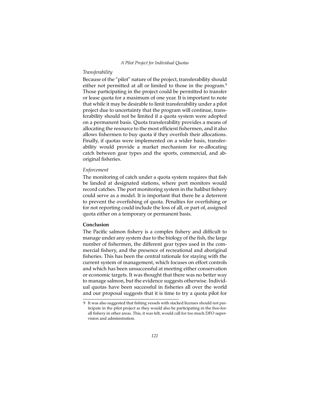# *Transferability*

Because of the "pilot" nature of the project, transferability should either not permitted at all or limited to those in the program.<sup>9</sup> Those participating in the project could be permitted to transfer or lease quota for a maximum of one year. It is important to note that while it may be desirable to limit transferability under a pilot project due to uncertainty that the program will continue, transferability should not be limited if a quota system were adopted on a permanent basis. Quota transferability provides a means of allocating the resource to the most efficient fishermen, and it also allows fishermen to buy quota if they overfish their allocations. Finally, if quotas were implemented on a wider basis, transferability would provide a market mechanism for re-allocating catch between gear types and the sports, commercial, and aboriginal fisheries.

# *Enforcement*

The monitoring of catch under a quota system requires that fish be landed at designated stations, where port monitors would record catches. The port monitoring system in the halibut fishery could serve as a model. It is important that there be a deterrent to prevent the overfishing of quota. Penalties for overfishing or for not reporting could include the loss of all, or part of, assigned quota either on a temporary or permanent basis.

# **Conclusion**

The Pacific salmon fishery is a complex fishery and difficult to manage under any system due to the biology of the fish, the large number of fishermen, the different gear types used in the commercial fishery, and the presence of recreational and aboriginal fisheries. This has been the central rationale for staying with the current system of management, which focuses on effort controls and which has been unsuccessful at meeting either conservation or economic targets. It was thought that there was no better way to manage salmon, but the evidence suggests otherwise. Individual quotas have been successful in fisheries all over the world and our proposal suggests that it is time to try a quota pilot for

<sup>9</sup> It was also suggested that fishing vessels with stacked licenses should not participate in the pilot project as they would also be participating in the free-forall fishery in other areas. This, it was felt, would call for too much DFO supervision and administration.